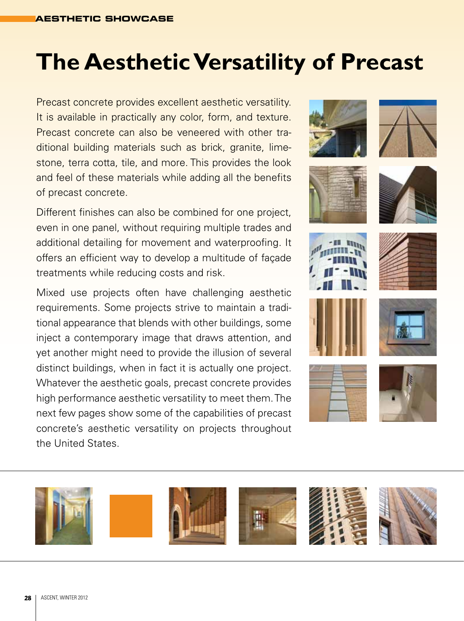# **The Aesthetic Versatility of Precast**

Precast concrete provides excellent aesthetic versatility. It is available in practically any color, form, and texture. Precast concrete can also be veneered with other traditional building materials such as brick, granite, limestone, terra cotta, tile, and more. This provides the look and feel of these materials while adding all the benefits of precast concrete.

Different finishes can also be combined for one project, even in one panel, without requiring multiple trades and additional detailing for movement and waterproofing. It offers an efficient way to develop a multitude of façade treatments while reducing costs and risk.

Mixed use projects often have challenging aesthetic requirements. Some projects strive to maintain a traditional appearance that blends with other buildings, some inject a contemporary image that draws attention, and yet another might need to provide the illusion of several distinct buildings, when in fact it is actually one project. Whatever the aesthetic goals, precast concrete provides high performance aesthetic versatility to meet them. The next few pages show some of the capabilities of precast concrete's aesthetic versatility on projects throughout the United States.





















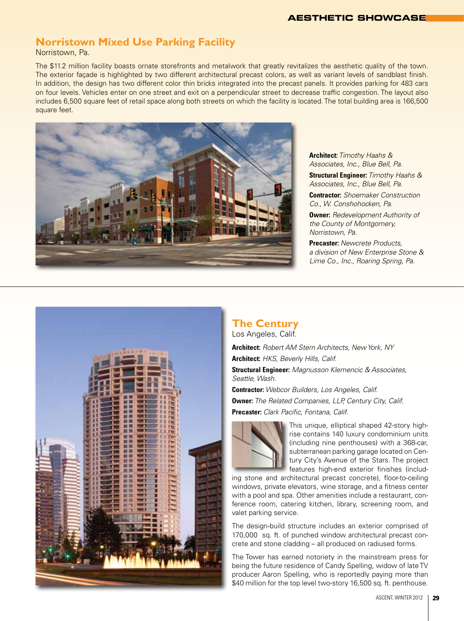#### **AESTHETIC SHOWCASE**

### **Norristown Mixed Use Parking Facility**

Norristown, Pa.

The \$11.2 million facility boasts ornate storefronts and metalwork that greatly revitalizes the aesthetic quality of the town. The exterior façade is highlighted by two different architectural precast colors, as well as variant levels of sandblast finish. In addition, the design has two different color thin bricks integrated into the precast panels. It provides parking for 483 cars on four levels. Vehicles enter on one street and exit on a perpendicular street to decrease traffic congestion. The layout also includes 6,500 square feet of retail space along both streets on which the facility is located. The total building area is 166,500 square feet.



**Architect:** *Timothy Haahs & Associates, Inc., Blue Bell, Pa.*

**Structural Engineer:** *Timothy Haahs & Associates, Inc., Blue Bell, Pa.*

**Contractor:** *Shoemaker Construction Co., W. Conshohocken, Pa.*

**Owner:** *Redevelopment Authority of the County of Montgomery, Norristown, Pa.*

**Precaster:** *Newcrete Products, a division of New Enterprise Stone & Lime Co., Inc., Roaring Spring, Pa.* 



#### **The Century** Los Angeles, Calif.

**Architect:** *Robert AM Stern Architects, New York, NY* **Architect:** *HKS, Beverly Hills, Calif.*

**Structural Engineer:** *Magnusson Klemencic & Associates, Seattle, Wash.*

**Contractor:** *Webcor Builders, Los Angeles, Calif.* **Owner:** *The Related Companies, LLP, Century City, Calif.* **Precaster:** *Clark Pacific, Fontana, Calif.*



This unique, elliptical shaped 42-story highrise contains 140 luxury condominium units (including nine penthouses) with a 368-car, subterranean parking garage located on Century City's Avenue of the Stars. The project features high-end exterior finishes (includ-

ing stone and architectural precast concrete), floor-to-ceiling windows, private elevators, wine storage, and a fitness center with a pool and spa. Other amenities include a restaurant, conference room, catering kitchen, library, screening room, and valet parking service.

The design-build structure includes an exterior comprised of 170,000 sq. ft. of punched window architectural precast concrete and stone cladding – all produced on radiused forms.

The Tower has earned notoriety in the mainstream press for being the future residence of Candy Spelling, widow of late TV producer Aaron Spelling, who is reportedly paying more than \$40 million for the top level two-story 16,500 sq. ft. penthouse.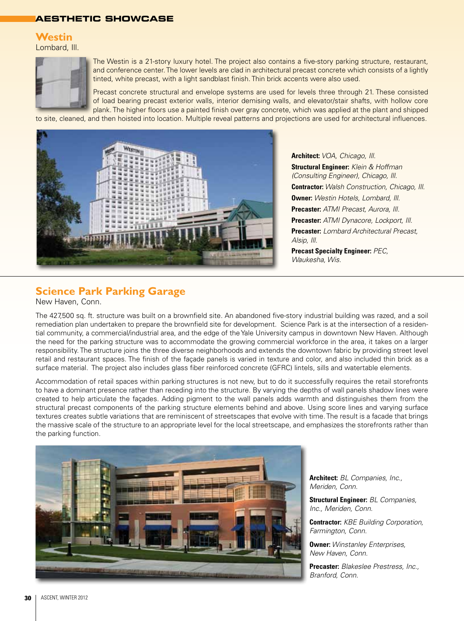#### **AESTHETIC SHOWCASE**

#### **Westin**

Lombard, Ill.



The Westin is a 21-story luxury hotel. The project also contains a five-story parking structure, restaurant, and conference center. The lower levels are clad in architectural precast concrete which consists of a lightly tinted, white precast, with a light sandblast finish. Thin brick accents were also used.

Precast concrete structural and envelope systems are used for levels three through 21. These consisted of load bearing precast exterior walls, interior demising walls, and elevator/stair shafts, with hollow core plank. The higher floors use a painted finish over gray concrete, which was applied at the plant and shipped

to site, cleaned, and then hoisted into location. Multiple reveal patterns and projections are used for architectural influences.



**Architect:** *VOA, Chicago, Ill.* **Structural Engineer:** *Klein & Hoffman (Consulting Engineer), Chicago, Ill.* **Contractor:** *Walsh Construction, Chicago, Ill.* **Owner:** *Westin Hotels, Lombard, Ill.* **Precaster:** *ATMI Precast, Aurora, Ill.* **Precaster:** *ATMI Dynacore, Lockport, Ill.* **Precaster:** *Lombard Architectural Precast, Alsip, Ill.* **Precast Specialty Engineer:** *PEC,* 

*Waukesha, Wis.*

# **Science Park Parking Garage**

New Haven, Conn.

The 427,500 sq. ft. structure was built on a brownfield site. An abandoned five-story industrial building was razed, and a soil remediation plan undertaken to prepare the brownfield site for development. Science Park is at the intersection of a residential community, a commercial/industrial area, and the edge of the Yale University campus in downtown New Haven. Although the need for the parking structure was to accommodate the growing commercial workforce in the area, it takes on a larger responsibility. The structure joins the three diverse neighborhoods and extends the downtown fabric by providing street level retail and restaurant spaces. The finish of the façade panels is varied in texture and color, and also included thin brick as a surface material. The project also includes glass fiber reinforced concrete (GFRC) lintels, sills and watertable elements.

Accommodation of retail spaces within parking structures is not new, but to do it successfully requires the retail storefronts to have a dominant presence rather than receding into the structure. By varying the depths of wall panels shadow lines were created to help articulate the façades. Adding pigment to the wall panels adds warmth and distinguishes them from the structural precast components of the parking structure elements behind and above. Using score lines and varying surface textures creates subtle variations that are reminiscent of streetscapes that evolve with time. The result is a facade that brings the massive scale of the structure to an appropriate level for the local streetscape, and emphasizes the storefronts rather than the parking function.



**Architect:** *BL Companies, Inc., Meriden, Conn.*

**Structural Engineer:** *BL Companies, Inc., Meriden, Conn.*

**Contractor:** *KBE Building Corporation, Farmington, Conn.*

**Owner:** *Winstanley Enterprises, New Haven, Conn.*

**Precaster:** *Blakeslee Prestress, Inc., Branford, Conn.*